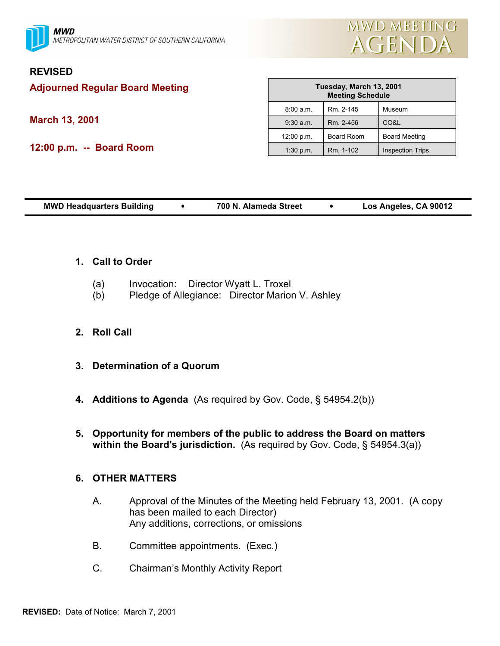



## **REVISED**

**Adjourned Regular Board Meeting**

**March 13, 2001**

**12:00 p.m. -- Board Room**

| Tuesday, March 13, 2001<br><b>Meeting Schedule</b> |                   |                         |
|----------------------------------------------------|-------------------|-------------------------|
| 8:00 a.m.                                          | Rm. 2-145         | Museum                  |
| $9:30$ a.m.                                        | Rm. 2-456         | CO&L                    |
| 12:00 p.m.                                         | <b>Board Room</b> | <b>Board Meeting</b>    |
| 1:30 p.m.                                          | Rm. 1-102         | <b>Inspection Trips</b> |

| Los Angeles, CA 90012<br><b>MWD Headquarters Building</b><br>700 N. Alameda Street |
|------------------------------------------------------------------------------------|
|------------------------------------------------------------------------------------|

## **1. Call to Order**

- (a) Invocation: Director Wyatt L. Troxel
- (b) Pledge of Allegiance: Director Marion V. Ashley

## **2. Roll Call**

- **3. Determination of a Quorum**
- **4. Additions to Agenda** (As required by Gov. Code, § 54954.2(b))
- **5. Opportunity for members of the public to address the Board on matters within the Board's jurisdiction.** (As required by Gov. Code, § 54954.3(a))

## **6. OTHER MATTERS**

- A. Approval of the Minutes of the Meeting held February 13, 2001. (A copy has been mailed to each Director) Any additions, corrections, or omissions
- B. Committee appointments. (Exec.)
- C. Chairman's Monthly Activity Report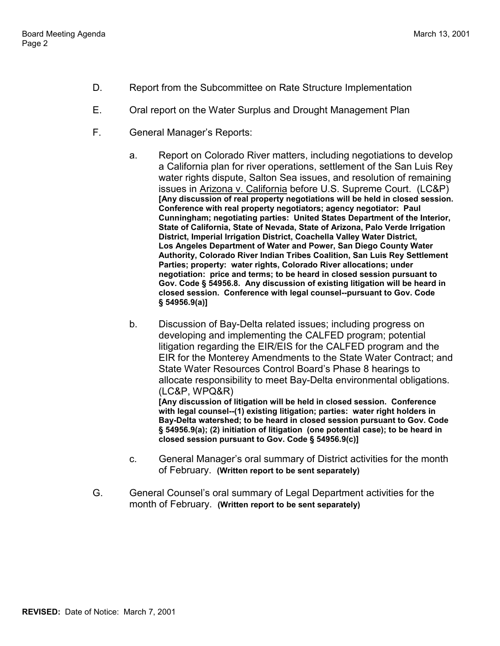- D. Report from the Subcommittee on Rate Structure Implementation
- E. Oral report on the Water Surplus and Drought Management Plan
- F. General Manager's Reports:
	- a. Report on Colorado River matters, including negotiations to develop a California plan for river operations, settlement of the San Luis Rey water rights dispute, Salton Sea issues, and resolution of remaining issues in Arizona v. California before U.S. Supreme Court. (LC&P) **[Any discussion of real property negotiations will be held in closed session. Conference with real property negotiators; agency negotiator: Paul Cunningham; negotiating parties: United States Department of the Interior, State of California, State of Nevada, State of Arizona, Palo Verde Irrigation District, Imperial Irrigation District, Coachella Valley Water District, Los Angeles Department of Water and Power, San Diego County Water Authority, Colorado River Indian Tribes Coalition, San Luis Rey Settlement Parties; property: water rights, Colorado River allocations; under negotiation: price and terms; to be heard in closed session pursuant to Gov. Code § 54956.8. Any discussion of existing litigation will be heard in closed session. Conference with legal counsel--pursuant to Gov. Code § 54956.9(a)]**
	- b. Discussion of Bay-Delta related issues; including progress on developing and implementing the CALFED program; potential litigation regarding the EIR/EIS for the CALFED program and the EIR for the Monterey Amendments to the State Water Contract; and State Water Resources Control Board's Phase 8 hearings to allocate responsibility to meet Bay-Delta environmental obligations. (LC&P, WPQ&R) **[Any discussion of litigation will be held in closed session. Conference with legal counsel--(1) existing litigation; parties: water right holders in**

**Bay-Delta watershed; to be heard in closed session pursuant to Gov. Code § 54956.9(a); (2) initiation of litigation (one potential case); to be heard in closed session pursuant to Gov. Code § 54956.9(c)]**

- c. General Manager's oral summary of District activities for the month of February. **(Written report to be sent separately)**
- G. General Counsel's oral summary of Legal Department activities for the month of February. **(Written report to be sent separately)**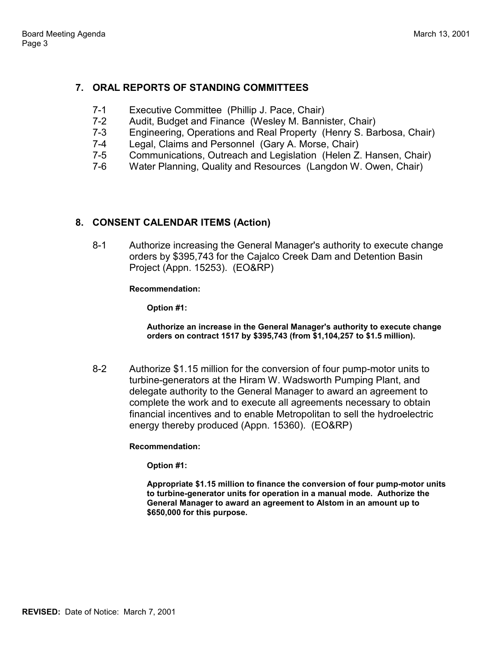# **7. ORAL REPORTS OF STANDING COMMITTEES**

- 7-1 Executive Committee (Phillip J. Pace, Chair)
- 7-2 Audit, Budget and Finance (Wesley M. Bannister, Chair)<br>7-3 Fngineering Operations and Real Property (Henry S. Ba
- Engineering, Operations and Real Property (Henry S. Barbosa, Chair)
- 7-4 Legal, Claims and Personnel (Gary A. Morse, Chair)
- 7-5 Communications, Outreach and Legislation (Helen Z. Hansen, Chair)
- 7-6 Water Planning, Quality and Resources (Langdon W. Owen, Chair)

### **8. CONSENT CALENDAR ITEMS (Action)**

8-1 Authorize increasing the General Manager's authority to execute change orders by \$395,743 for the Cajalco Creek Dam and Detention Basin Project (Appn. 15253). (EO&RP)

### **Recommendation:**

**Option #1:**

**Authorize an increase in the General Manager's authority to execute change orders on contract 1517 by \$395,743 (from \$1,104,257 to \$1.5 million).**

8-2 Authorize \$1.15 million for the conversion of four pump-motor units to turbine-generators at the Hiram W. Wadsworth Pumping Plant, and delegate authority to the General Manager to award an agreement to complete the work and to execute all agreements necessary to obtain financial incentives and to enable Metropolitan to sell the hydroelectric energy thereby produced (Appn. 15360). (EO&RP)

### **Recommendation:**

**Option #1:**

**Appropriate \$1.15 million to finance the conversion of four pump-motor units to turbine-generator units for operation in a manual mode. Authorize the General Manager to award an agreement to Alstom in an amount up to \$650,000 for this purpose.**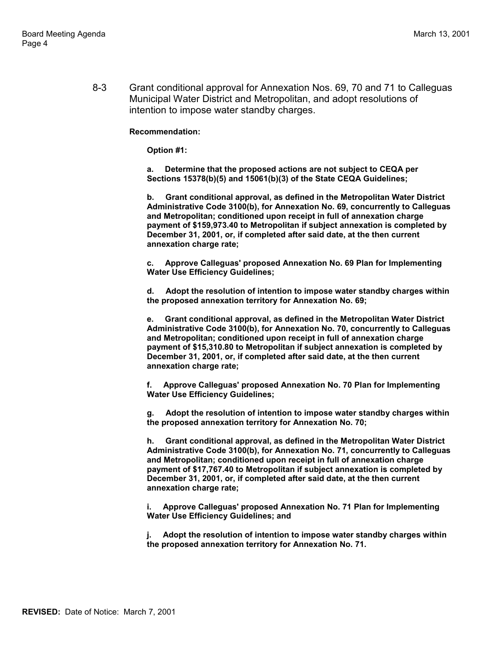8-3 Grant conditional approval for Annexation Nos. 69, 70 and 71 to Calleguas Municipal Water District and Metropolitan, and adopt resolutions of intention to impose water standby charges.

### **Recommendation:**

#### **Option #1:**

**a. Determine that the proposed actions are not subject to CEQA per Sections 15378(b)(5) and 15061(b)(3) of the State CEQA Guidelines;**

**b. Grant conditional approval, as defined in the Metropolitan Water District Administrative Code 3100(b), for Annexation No. 69, concurrently to Calleguas and Metropolitan; conditioned upon receipt in full of annexation charge payment of \$159,973.40 to Metropolitan if subject annexation is completed by December 31, 2001, or, if completed after said date, at the then current annexation charge rate;**

**c. Approve Calleguas' proposed Annexation No. 69 Plan for Implementing Water Use Efficiency Guidelines;**

**d. Adopt the resolution of intention to impose water standby charges within the proposed annexation territory for Annexation No. 69;**

**e. Grant conditional approval, as defined in the Metropolitan Water District Administrative Code 3100(b), for Annexation No. 70, concurrently to Calleguas and Metropolitan; conditioned upon receipt in full of annexation charge payment of \$15,310.80 to Metropolitan if subject annexation is completed by December 31, 2001, or, if completed after said date, at the then current annexation charge rate;**

**f. Approve Calleguas' proposed Annexation No. 70 Plan for Implementing Water Use Efficiency Guidelines;**

**g. Adopt the resolution of intention to impose water standby charges within the proposed annexation territory for Annexation No. 70;**

**h. Grant conditional approval, as defined in the Metropolitan Water District Administrative Code 3100(b), for Annexation No. 71, concurrently to Calleguas and Metropolitan; conditioned upon receipt in full of annexation charge payment of \$17,767.40 to Metropolitan if subject annexation is completed by December 31, 2001, or, if completed after said date, at the then current annexation charge rate;**

**i. Approve Calleguas' proposed Annexation No. 71 Plan for Implementing Water Use Efficiency Guidelines; and**

**j. Adopt the resolution of intention to impose water standby charges within the proposed annexation territory for Annexation No. 71.**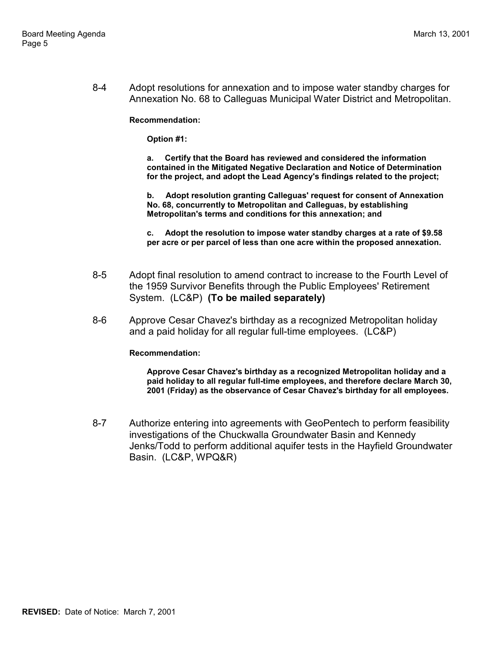8-4 Adopt resolutions for annexation and to impose water standby charges for Annexation No. 68 to Calleguas Municipal Water District and Metropolitan.

**Recommendation:**

**Option #1:**

**a. Certify that the Board has reviewed and considered the information contained in the Mitigated Negative Declaration and Notice of Determination for the project, and adopt the Lead Agency's findings related to the project;**

**b. Adopt resolution granting Calleguas' request for consent of Annexation No. 68, concurrently to Metropolitan and Calleguas, by establishing Metropolitan's terms and conditions for this annexation; and**

**c. Adopt the resolution to impose water standby charges at a rate of \$9.58 per acre or per parcel of less than one acre within the proposed annexation.**

- 8-5 Adopt final resolution to amend contract to increase to the Fourth Level of the 1959 Survivor Benefits through the Public Employees' Retirement System. (LC&P) **(To be mailed separately)**
- 8-6 Approve Cesar Chavez's birthday as a recognized Metropolitan holiday and a paid holiday for all regular full-time employees. (LC&P)

#### **Recommendation:**

**Approve Cesar Chavez's birthday as a recognized Metropolitan holiday and a paid holiday to all regular full-time employees, and therefore declare March 30, 2001 (Friday) as the observance of Cesar Chavez's birthday for all employees.**

8-7 Authorize entering into agreements with GeoPentech to perform feasibility investigations of the Chuckwalla Groundwater Basin and Kennedy Jenks/Todd to perform additional aquifer tests in the Hayfield Groundwater Basin. (LC&P, WPQ&R)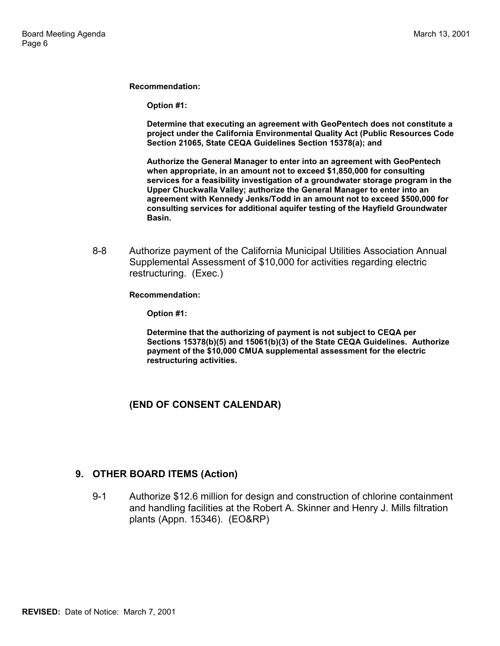**Recommendation:**

**Option #1:**

**Determine that executing an agreement with GeoPentech does not constitute a project under the California Environmental Quality Act (Public Resources Code Section 21065, State CEQA Guidelines Section 15378(a); and**

**Authorize the General Manager to enter into an agreement with GeoPentech when appropriate, in an amount not to exceed \$1,850,000 for consulting services for a feasibility investigation of a groundwater storage program in the Upper Chuckwalla Valley; authorize the General Manager to enter into an agreement with Kennedy Jenks/Todd in an amount not to exceed \$500,000 for consulting services for additional aquifer testing of the Hayfield Groundwater Basin.**

8-8 Authorize payment of the California Municipal Utilities Association Annual Supplemental Assessment of \$10,000 for activities regarding electric restructuring. (Exec.)

**Recommendation:**

**Option #1:**

**Determine that the authorizing of payment is not subject to CEQA per Sections 15378(b)(5) and 15061(b)(3) of the State CEQA Guidelines. Authorize payment of the \$10,000 CMUA supplemental assessment for the electric restructuring activities.**

## **(END OF CONSENT CALENDAR)**

### **9. OTHER BOARD ITEMS (Action)**

9-1 Authorize \$12.6 million for design and construction of chlorine containment and handling facilities at the Robert A. Skinner and Henry J. Mills filtration plants (Appn. 15346). (EO&RP)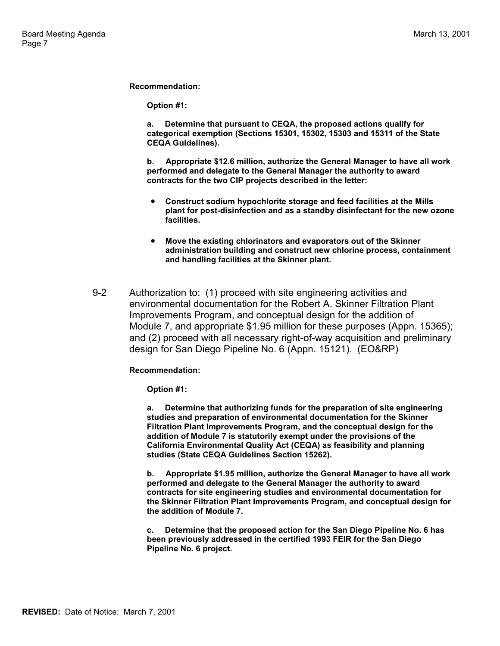**Recommendation:**

**Option #1:**

**a. Determine that pursuant to CEQA, the proposed actions qualify for categorical exemption (Sections 15301, 15302, 15303 and 15311 of the State CEQA Guidelines).**

**b. Appropriate \$12.6 million, authorize the General Manager to have all work performed and delegate to the General Manager the authority to award contracts for the two CIP projects described in the letter:**

- **Construct sodium hypochlorite storage and feed facilities at the Mills plant for post-disinfection and as a standby disinfectant for the new ozone facilities.**
- **Move the existing chlorinators and evaporators out of the Skinner administration building and construct new chlorine process, containment and handling facilities at the Skinner plant.**
- 9-2 Authorization to: (1) proceed with site engineering activities and environmental documentation for the Robert A. Skinner Filtration Plant Improvements Program, and conceptual design for the addition of Module 7, and appropriate \$1.95 million for these purposes (Appn. 15365); and (2) proceed with all necessary right-of-way acquisition and preliminary design for San Diego Pipeline No. 6 (Appn. 15121). (EO&RP)

#### **Recommendation:**

**Option #1:**

**a. Determine that authorizing funds for the preparation of site engineering studies and preparation of environmental documentation for the Skinner Filtration Plant Improvements Program, and the conceptual design for the addition of Module 7 is statutorily exempt under the provisions of the California Environmental Quality Act (CEQA) as feasibility and planning studies (State CEQA Guidelines Section 15262).**

**b. Appropriate \$1.95 million, authorize the General Manager to have all work performed and delegate to the General Manager the authority to award contracts for site engineering studies and environmental documentation for the Skinner Filtration Plant Improvements Program, and conceptual design for the addition of Module 7.**

**c. Determine that the proposed action for the San Diego Pipeline No. 6 has been previously addressed in the certified 1993 FEIR for the San Diego Pipeline No. 6 project.**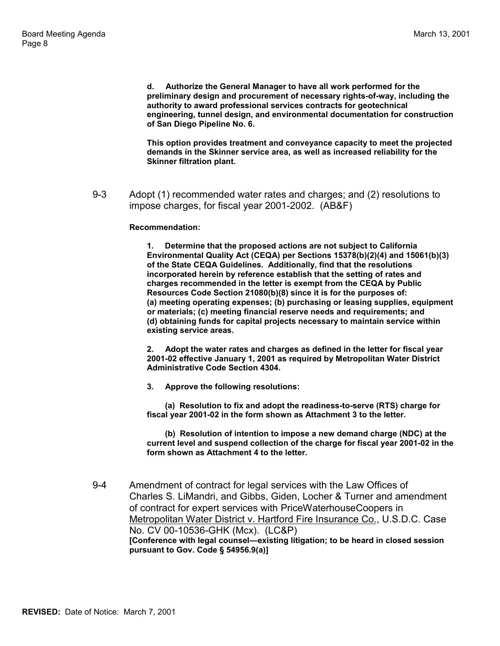**d. Authorize the General Manager to have all work performed for the preliminary design and procurement of necessary rights-of-way, including the authority to award professional services contracts for geotechnical engineering, tunnel design, and environmental documentation for construction of San Diego Pipeline No. 6.**

**This option provides treatment and conveyance capacity to meet the projected demands in the Skinner service area, as well as increased reliability for the Skinner filtration plant.**

9-3 Adopt (1) recommended water rates and charges; and (2) resolutions to impose charges, for fiscal year 2001-2002. (AB&F)

#### **Recommendation:**

**1. Determine that the proposed actions are not subject to California Environmental Quality Act (CEQA) per Sections 15378(b)(2)(4) and 15061(b)(3) of the State CEQA Guidelines. Additionally, find that the resolutions incorporated herein by reference establish that the setting of rates and charges recommended in the letter is exempt from the CEQA by Public Resources Code Section 21080(b)(8) since it is for the purposes of: (a) meeting operating expenses; (b) purchasing or leasing supplies, equipment or materials; (c) meeting financial reserve needs and requirements; and (d) obtaining funds for capital projects necessary to maintain service within existing service areas.**

**2. Adopt the water rates and charges as defined in the letter for fiscal year 2001-02 effective January 1, 2001 as required by Metropolitan Water District Administrative Code Section 4304.**

**3. Approve the following resolutions:**

 **(a) Resolution to fix and adopt the readiness-to-serve (RTS) charge for fiscal year 2001-02 in the form shown as Attachment 3 to the letter.**

 **(b) Resolution of intention to impose a new demand charge (NDC) at the current level and suspend collection of the charge for fiscal year 2001-02 in the form shown as Attachment 4 to the letter.**

9-4 Amendment of contract for legal services with the Law Offices of Charles S. LiMandri, and Gibbs, Giden, Locher & Turner and amendment of contract for expert services with PriceWaterhouseCoopers in Metropolitan Water District v. Hartford Fire Insurance Co., U.S.D.C. Case No. CV 00-10536-GHK (Mcx). (LC&P) **[Conference with legal counsel—existing litigation; to be heard in closed session pursuant to Gov. Code § 54956.9(a)]**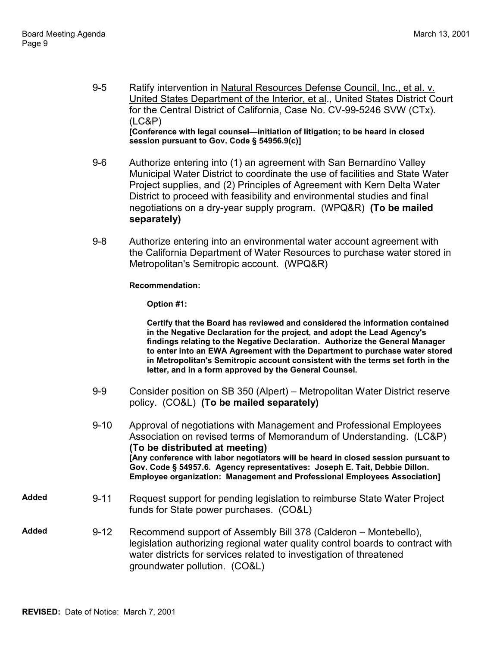- 9-5 Ratify intervention in Natural Resources Defense Council, Inc., et al. v. United States Department of the Interior, et al., United States District Court for the Central District of California, Case No. CV-99-5246 SVW (CTx). (LC&P) **[Conference with legal counsel—initiation of litigation; to be heard in closed session pursuant to Gov. Code § 54956.9(c)]**
- 9-6 Authorize entering into (1) an agreement with San Bernardino Valley Municipal Water District to coordinate the use of facilities and State Water Project supplies, and (2) Principles of Agreement with Kern Delta Water District to proceed with feasibility and environmental studies and final negotiations on a dry-year supply program. (WPQ&R) **(To be mailed separately)**
- 9-8 Authorize entering into an environmental water account agreement with the California Department of Water Resources to purchase water stored in Metropolitan's Semitropic account. (WPQ&R)

**Recommendation:**

**Option #1:**

**Certify that the Board has reviewed and considered the information contained in the Negative Declaration for the project, and adopt the Lead Agency's findings relating to the Negative Declaration. Authorize the General Manager to enter into an EWA Agreement with the Department to purchase water stored in Metropolitan's Semitropic account consistent with the terms set forth in the letter, and in a form approved by the General Counsel.**

- 9-9 Consider position on SB 350 (Alpert) Metropolitan Water District reserve policy. (CO&L) **(To be mailed separately)**
- 9-10 Approval of negotiations with Management and Professional Employees Association on revised terms of Memorandum of Understanding. (LC&P) **(To be distributed at meeting) [Any conference with labor negotiators will be heard in closed session pursuant to Gov. Code § 54957.6. Agency representatives: Joseph E. Tait, Debbie Dillon. Employee organization: Management and Professional Employees Association]**
- **Added** 9-11 Request support for pending legislation to reimburse State Water Project funds for State power purchases. (CO&L)
- **Added** 9-12 Recommend support of Assembly Bill 378 (Calderon Montebello), legislation authorizing regional water quality control boards to contract with water districts for services related to investigation of threatened groundwater pollution. (CO&L)